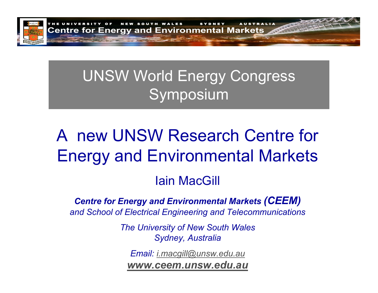

# UNSW World Energy Congress Symposium

# A new UNSW Research Centre for Energy and Environmental Markets

# Iain MacGill

### *Centre for Energy and Environmental Markets (CEEM) and School of Electrical Engineering and Telecommunications*

*The University of New South Wales Sydney, Australia*

*Email: [i.macgill@unsw.edu.au](mailto:i.macgill@unsw.edu.au)*

*[www.ceem.unsw.edu.au](http://www.ceem.unsw.edu.au/)*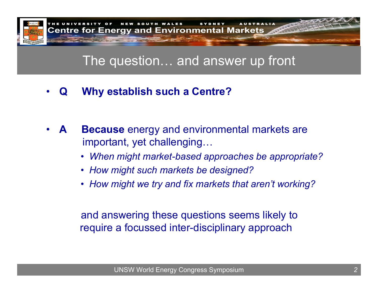

# The question… and answer up front

•**Q Why establish such a Centre?**

- •**ABecause** energy and environmental markets are important, yet challenging…
	- *When might market-based approaches be appropriate?*
	- *How might such markets be designed?*
	- *How might we try and fix markets that aren't working?*

and answering these questions seems likely to require a focussed inter-disciplinary approach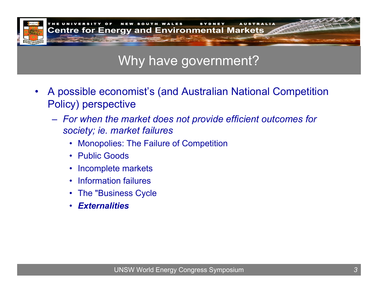

# Why have government?

- •A possible economist's (and Australian National Competition Policy) perspective
	- *For when the market does not provide efficient outcomes for society; ie. market failures*
		- Monopolies: The Failure of Competition
		- Public Goods
		- Incomplete markets
		- Information failures
		- The "Business Cycle
		- $\bullet$ *Externalities*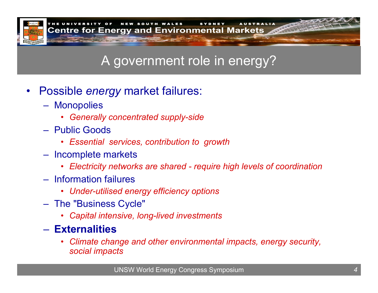

# A government role in energy?

- •Possible *energy* market failures:
	- Monopolies
		- *Generally concentrated supply-side*
	- –Public Goods
		- *Essential services, contribution to growth*
	- Incomplete markets
		- *Electricity networks are shared - require high levels of coordination*
	- Information failures
		- *Under-utilised energy efficiency options*
	- The "Business Cycle"
		- *Capital intensive, long-lived investments*

### – **Externalities**

• *Climate change and other environmental impacts, energy security, social impacts*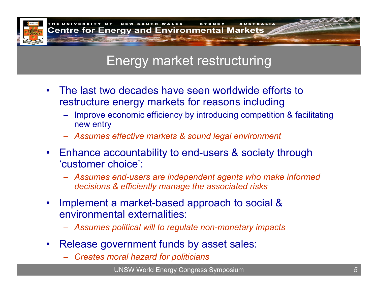

## Energy market restructuring

- $\bullet$ The last two decades have seen worldwide efforts to restructure energy markets for reasons including
	- Improve economic efficiency by introducing competition & facilitating new entry
	- –*Assumes effective markets & sound legal environment*
- Enhance accountability to end-users & society through 'customer choice':
	- *Assumes end-users are independent agents who make informed decisions & efficiently manage the associated risks*
- • Implement a market-based approach to social & environmental externalities:
	- *Assumes political will to regulate non-monetary impacts*
- $\bullet$ Release government funds by asset sales:
	- *Creates moral hazard for politicians*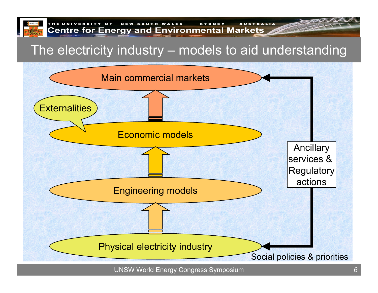

# The electricity industry – models to aid understanding

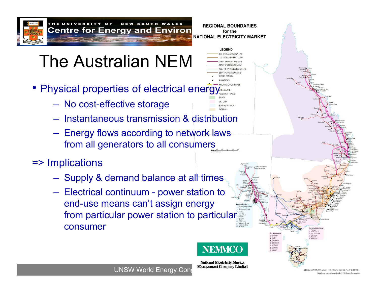

### N E W SOUTH WALES REGIONAL BOUNDARIES **Centre for Energy and Environ for the formulate Southern Control Control Control Control Markets**

# The Australian NEM

- Physical properties of electrical energy
	- No cost-effective storage
	- Instantaneous transmission & distribution
	- Energy flows according to network laws from all generators to all consumers

# => Implications

- Supply & demand balance at all times
- Electrical continuum power station to end-use means can't assign energy from particular power station to particular consumer



**LEGEND** 

**ITH AUSTRALIA** 

**National Electricity Market**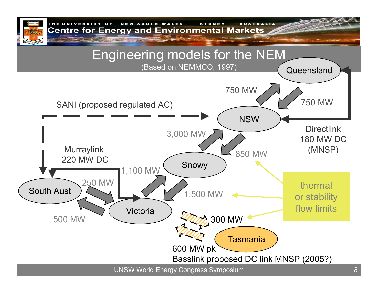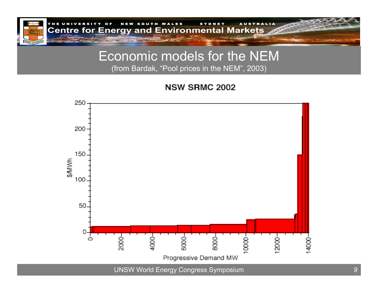

### Economic models for the NEM (from Bardak, " Pool prices in the NEM", 2003)

**NSW SRMC 2002** 

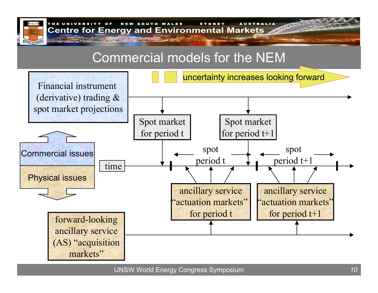

# Commercial models for the NEM

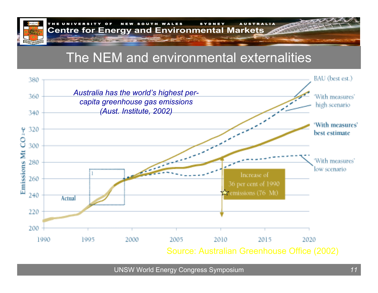

OF NEW SOUTH WALES SYDNEY AUSTRALIA **Centre for Energy and Environmental Markets** 

# The NEM and environmental externalities

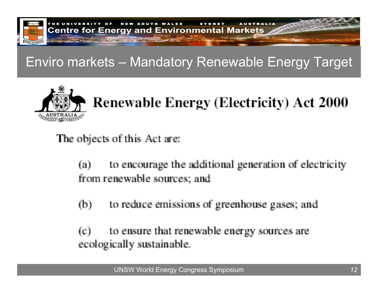

# Enviro markets – Mandatory Renewable Energy Target



# **Renewable Energy (Electricity) Act 2000**

The objects of this Act are:

to encourage the additional generation of electricity  $(a)$ from renewable sources; and

to reduce emissions of greenhouse gases; and  $(b)$ 

to ensure that renewable energy sources are  $\left( c\right)$ ecologically sustainable.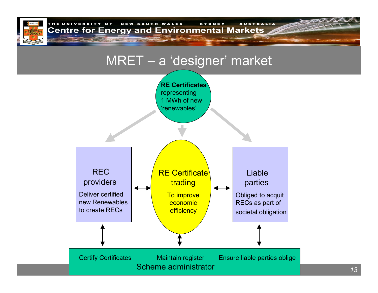

THE UNIVERSITY OF NEW SOUTH WALES SYDNEY AUSTRALIA **Centre for Energy and Environmental Markets** 

## MRET – <sup>a</sup>'designer' market

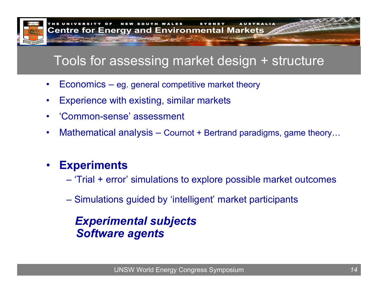

# Tools for assessing market design + structure

- $\bullet$ Economics – eg. general competitive market theory
- •Experience with existing, similar markets
- •'Common-sense' assessment
- •Mathematical analysis – Cournot + Bertrand paradigms, game theory…

#### •**Experiments**

- 'Trial + error' simulations to explore possible market outcomes
- Simulations guided by 'intelligent' market participants

## *Experimental subjects Software agents*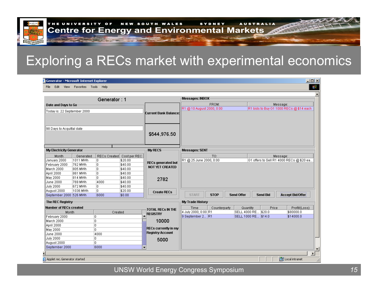# Exploring a RECs market with experimental economics

| Generator: 1                  |                       |                    |                         | Messages: INBOX             |                           |             |                   |                     |                                                       |
|-------------------------------|-----------------------|--------------------|-------------------------|-----------------------------|---------------------------|-------------|-------------------|---------------------|-------------------------------------------------------|
| Date and Days to Go           |                       |                    |                         |                             | FROM:                     |             |                   | Message:            |                                                       |
| Today is: 22 September 2000   |                       |                    |                         |                             | R1 @ 10 August 2000, 0:00 |             |                   |                     | R1 bids to Buy G1 1000 RECs @ \$14 each               |
|                               |                       |                    |                         | Current Bank Balance:       |                           |             |                   |                     |                                                       |
|                               |                       |                    |                         |                             |                           |             |                   |                     |                                                       |
| 98 Days to Acquittal date     |                       |                    |                         |                             |                           |             |                   |                     |                                                       |
|                               |                       |                    |                         | \$544,976.50                |                           |             |                   |                     |                                                       |
|                               |                       |                    |                         |                             |                           |             |                   |                     |                                                       |
|                               |                       |                    |                         |                             |                           |             |                   |                     |                                                       |
| My Electricity Generator      |                       |                    |                         | My RECS                     | <b>Messages: SENT</b>     |             |                   |                     |                                                       |
|                               |                       |                    |                         |                             |                           |             |                   |                     |                                                       |
| Month<br>January 2000         | Generated<br>1011 MWh | RECs Created<br>O. | Cost per REC<br>\$20.00 |                             | R1 @ 25 June 2000, 0:00   | TO:         |                   |                     | Message:<br>G1 offers to Sell R1 4000 RECs @ \$20 ea. |
| February 2000                 | 762 MWh               | O.                 | \$40.00                 | <b>RECs generated but</b>   |                           |             |                   |                     |                                                       |
| March 2000                    | 805 MWh               | 0                  | \$40.00                 | <b>NOT YET CREATED</b>      |                           |             |                   |                     |                                                       |
| April 2000                    | 861 MWh               | 0                  | \$40.00                 |                             |                           |             |                   |                     |                                                       |
| May 2000                      | 814 MWh               | lo.                | \$40.00                 | 2782                        |                           |             |                   |                     |                                                       |
| June 2000                     | 769 MWh               | 4000               | \$40.00                 |                             |                           |             |                   |                     |                                                       |
| July 2000                     | 672 MWh               | 0                  | \$40.00                 |                             |                           |             |                   |                     |                                                       |
| August 2000                   | 1036 MWh              | O.                 | \$20.00                 | <b>Create RECs</b>          |                           |             |                   |                     |                                                       |
| September 2000 526 MWh        |                       | 6000               | \$0.00                  |                             | <b>START</b>              | <b>STOP</b> | <b>Send Offer</b> | <b>Send Bid</b>     | <b>Accept Bid/Offer</b>                               |
| The REC Registry              |                       |                    |                         |                             | My Trade History          |             |                   |                     |                                                       |
| <b>Number of RECs created</b> |                       |                    | TOTAL RECs IN THE       | Time                        | Counterparty              | Quantity    | Price             | Profit/(Loss)       |                                                       |
| Month                         |                       | Created            |                         | <b>REGISTRY</b>             | 4 July 2000, 0:00 R1      |             |                   | SELL 4000 RE \$20.0 | \$80000.0                                             |
| February 2000                 |                       | O.                 |                         |                             | 9 September 2 R1          |             |                   | SELL 1000 RE \$14.0 | \$14000.0                                             |
| March 2000                    |                       | O.                 |                         | 10000                       |                           |             |                   |                     |                                                       |
| April 2000                    |                       | O.                 |                         | <b>RECs currently in my</b> |                           |             |                   |                     |                                                       |
| May 2000                      |                       | O.                 |                         | <b>Registry Account</b>     |                           |             |                   |                     |                                                       |
| June 2000                     |                       | 4000               |                         |                             |                           |             |                   |                     |                                                       |
| July 2000                     |                       | O.<br>o.           |                         | 5000                        |                           |             |                   |                     |                                                       |
| August 2000                   |                       |                    |                         |                             |                           |             |                   |                     |                                                       |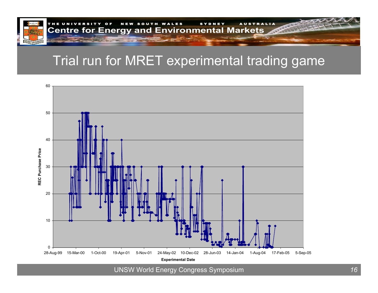

# Trial run for MRET experimental trading game

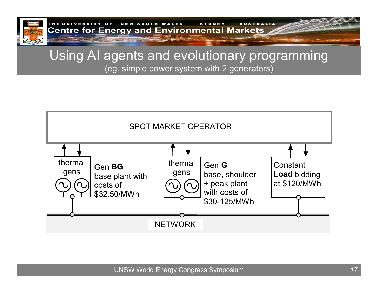

THE UNIVERSITY OF NEW SOUTH WALES SYDNEY AUSTRALIA **Centre for Energy and Environmental Markets** 

### Using AI agents and evolutionary programming (eg. simple power system with 2 generators)

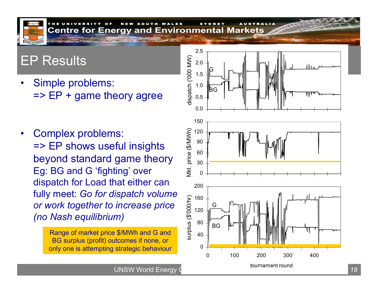# EP Results

•Simple problems:  $\Rightarrow$  EP + game theory agree

•Complex problems: => EP shows useful insights beyond standard game theory Eg: BG and G 'fighting' over dispatch for Load that either can fully meet: *Go for dispatch volume or work together to increase price (no Nash equilibrium)*

> Range of market price \$/MWh and G and BG surplus (profit) outcomes if none, or only one is attempting strategic behaviour



UNSW World Energy Construction **18**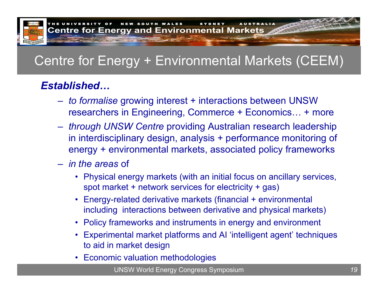

# Centre for Energy + Environmental Markets (CEEM)

## *Established…*

- *to formalise* growing interest + interactions between UNSW researchers in Engineering, Commerce + Economics… + more
- *through UNSW Centre* providing Australian research leadership in interdisciplinary design, analysis + performance monitoring of energy + environmental markets, associated policy frameworks
- *in the areas* of
	- Physical energy markets (with an initial focus on ancillary services, spot market + network services for electricity + gas)
	- • Energy-related derivative markets (financial + environmental including interactions between derivative and physical markets)
	- Policy frameworks and instruments in energy and environment
	- • Experimental market platforms and AI 'intelligent agent' t echniques to aid in market design
	- •Economic valuation methodologies